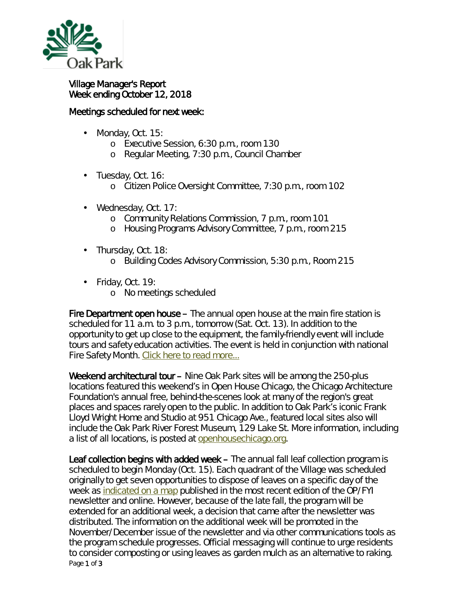

## Village Manager's Report Week ending October 12, 2018

## Meetings scheduled for next week:

- Monday, Oct. 15: ä,
	- o Executive Session, 6:30 p.m., room 130
	- o Regular Meeting, 7:30 p.m., Council Chamber
- . Tuesday, Oct. 16:
	- o Citizen Police Oversight Committee, 7:30 p.m., room 102
- Wednesday, Oct. 17:
	- o Community Relations Commission, 7 p.m., room 101
	- o Housing Programs Advisory Committee, 7 p.m., room 215
- Thursday, Oct. 18: ä, o Building Codes Advisory Commission, 5:30 p.m., Room 215
- Friday, Oct. 19:
	- o No meetings scheduled

Fire Department open house – The annual open house at the main fire station is scheduled for 11 a.m. to 3 p.m., tomorrow (Sat. Oct. 13). In addition to the opportunity to get up close to the equipment, the family-friendly event will include tours and safety education activities. The event is held in conjunction with national Fire Safety Month. [Click here to read more...](http://r20.rs6.net/tn.jsp?f=001NmoOFX5i4Il4cbK8HyML342i4FzSZso1HRroGabDHhvGno15qwCZYhDoznoKiRVlvv7HKAhmDR9dIL7LBfgj6ghGhf3qzMbk4cssScHCgIo9aoWmbP1pZ4RcACDwMsCD588nZzLzOL4fQDz0khoVahH0AvEEyrlYl18Mj3mkrdTjZ_ss1gkGeyY5-Y-Q8WG8D6CFVIJBBtbfcYKbFuN_MhTy5Psjheir2yEiRmk4D2VSIz6JM9FOr9CY57tDBgz0rHsxbYjBlyfsR1y-7IVjc4-O821-d49Vk4hn8hxhOfvAB5NHto2GWFnbdEpcoF6wzKN3u_bnJYADxx5ToSoNkma4uvvQyfkyys3fpK_cmM14hS01At5hmw==&c=UJIKelOxv8SDuNj2jib0LRecOQY2U6OoW_Ted-MZKNgqxQJqC1HvBQ==&ch=m2brVFY1mNddPlEc1GMppWKpij-XAiH7mTO5UQvB7ZPFoEf0bykkVQ==)

Weekend architectural tour – Nine Oak Park sites will be among the 250-plus locations featured this weekend's in *Open House Chicago*, the Chicago Architecture Foundation's annual free, behind-the-scenes look at many of the region's great places and spaces rarely open to the public. In addition to Oak Park's iconic Frank Lloyd Wright Home and Studio at 951 Chicago Ave., featured local sites also will include the Oak Park River Forest Museum, 129 Lake St. More information, including a list of all locations, is posted at [openhousechicago.org.](http://r20.rs6.net/tn.jsp?t=e9ep9wyab.0.0.qdcllmmab.0&id=preview&r=3&p=http%3A%2F%2Fopenhousechicago.org%2F)

Page 1 of 3 Leaf collection begins with added week – The annual fall leaf collection program is scheduled to begin Monday (Oct. 15). Each quadrant of the Village was scheduled originally to get seven opportunities to dispose of leaves on a specific day of the week as [indicated on a map](https://www.oak-park.us/newsletters/septoct-2018/fall-leaf-collection-set-begin-october?utm_source=October+10%2C+2018&utm_campaign=enews&utm_medium=email) published in the most recent edition of the OP/FYI newsletter and online. However, because of the late fall, the program will be extended for an additional week, a decision that came after the newsletter was distributed. The information on the additional week will be promoted in the November/December issue of the newsletter and via other communications tools as the program schedule progresses. Official messaging will continue to urge residents to consider composting or using leaves as garden mulch as an alternative to raking.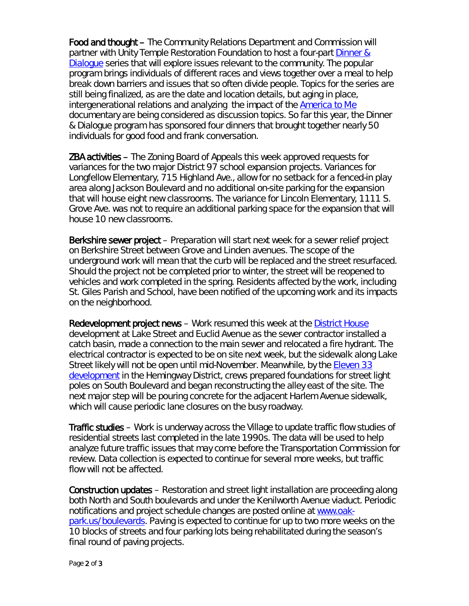Food and thought – The Community Relations Department and Commission will partner with Unity Temple Restoration Foundation to host a four-part **Dinner &** [Dialogue](https://www.oak-park.us/our-community/community-relations/dinner-dialogue) series that will explore issues relevant to the community. The popular program brings individuals of different races and views together over a meal to help break down barriers and issues that so often divide people. Topics for the series are still being finalized, as are the date and location details, but aging in place, intergenerational relations and analyzing the impact of the *[America to Me](https://kartemquin.com/films/america-to-me)* documentary are being considered as discussion topics. So far this year, the Dinner & Dialogue program has sponsored four dinners that brought together nearly 50 individuals for good food and frank conversation.

ZBA activities – The Zoning Board of Appeals this week approved requests for variances for the two major District 97 school expansion projects. Variances for Longfellow Elementary, 715 Highland Ave., allow for no setback for a fenced-in play area along Jackson Boulevard and no additional on-site parking for the expansion that will house eight new classrooms. The variance for Lincoln Elementary, 1111 S. Grove Ave. was not to require an additional parking space for the expansion that will house 10 new classrooms.

Berkshire sewer project – Preparation will start next week for a sewer relief project on Berkshire Street between Grove and Linden avenues. The scope of the underground work will mean that the curb will be replaced and the street resurfaced. Should the project not be completed prior to winter, the street will be reopened to vehicles and work completed in the spring. Residents affected by the work, including St. Giles Parish and School, have been notified of the upcoming work and its impacts on the neighborhood.

Redevelopment project news – Work resumed this week at the **District House** development at Lake Street and Euclid Avenue as the sewer contractor installed a catch basin, made a connection to the main sewer and relocated a fire hydrant. The electrical contractor is expected to be on site next week, but the sidewalk along Lake Street likely will not be open until mid-November. Meanwhile, by the [Eleven 33](https://oakparkeconomicdevelopmentcorporation.org/portfolio/lincoln-property-co-development/)  [development](https://oakparkeconomicdevelopmentcorporation.org/portfolio/lincoln-property-co-development/) in the Hemingway District, crews prepared foundations for street light poles on South Boulevard and began reconstructing the alley east of the site. The next major step will be pouring concrete for the adjacent Harlem Avenue sidewalk, which will cause periodic lane closures on the busy roadway.

Traffic studies – Work is underway across the Village to update traffic flow studies of residential streets last completed in the late 1990s. The data will be used to help analyze future traffic issues that may come before the Transportation Commission for review. Data collection is expected to continue for several more weeks, but traffic flow will not be affected.

Construction updates – Restoration and street light installation are proceeding along both North and South boulevards and under the Kenilworth Avenue viaduct. Periodic notifications and project schedule changes are posted online at [www.oak](http://www.oak-park.us/boulevards)[park.us/boulevards.](http://www.oak-park.us/boulevards) Paving is expected to continue for up to two more weeks on the 10 blocks of streets and four parking lots being rehabilitated during the season's final round of paving projects.